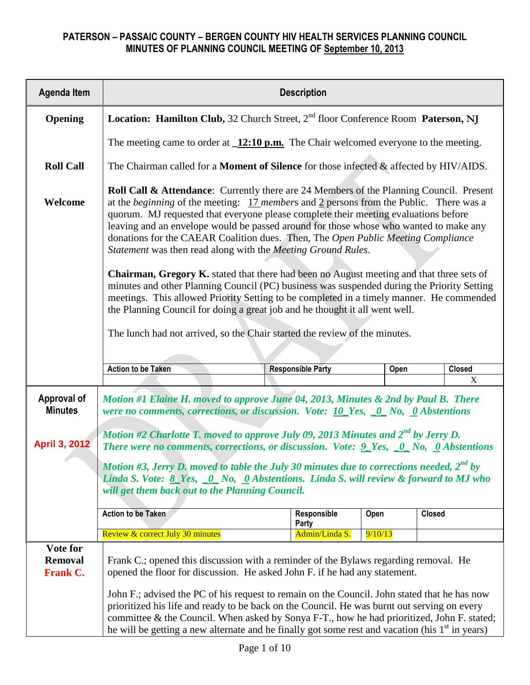| <b>Agenda Item</b>                            | <b>Description</b>                                                                                                                                                                                                                                                                                                                                                                                                                                                                                                                    |                                                                            |      |               |  |  |  |  |  |
|-----------------------------------------------|---------------------------------------------------------------------------------------------------------------------------------------------------------------------------------------------------------------------------------------------------------------------------------------------------------------------------------------------------------------------------------------------------------------------------------------------------------------------------------------------------------------------------------------|----------------------------------------------------------------------------|------|---------------|--|--|--|--|--|
| Opening                                       | Location: Hamilton Club, 32 Church Street, 2 <sup>nd</sup> floor Conference Room Paterson, NJ                                                                                                                                                                                                                                                                                                                                                                                                                                         |                                                                            |      |               |  |  |  |  |  |
|                                               | The meeting came to order at $\sqrt{12:10 \text{ p.m.}}$ The Chair welcomed everyone to the meeting.                                                                                                                                                                                                                                                                                                                                                                                                                                  |                                                                            |      |               |  |  |  |  |  |
| <b>Roll Call</b>                              | The Chairman called for a <b>Moment of Silence</b> for those infected & affected by HIV/AIDS.                                                                                                                                                                                                                                                                                                                                                                                                                                         |                                                                            |      |               |  |  |  |  |  |
| Welcome                                       | Roll Call & Attendance: Currently there are 24 Members of the Planning Council. Present<br>at the <i>beginning</i> of the meeting: $17$ <i>members</i> and 2 persons from the Public. There was a<br>quorum. MJ requested that everyone please complete their meeting evaluations before<br>leaving and an envelope would be passed around for those whose who wanted to make any<br>donations for the CAEAR Coalition dues. Then, The Open Public Meeting Compliance<br>Statement was then read along with the Meeting Ground Rules. |                                                                            |      |               |  |  |  |  |  |
|                                               | Chairman, Gregory K. stated that there had been no August meeting and that three sets of<br>minutes and other Planning Council (PC) business was suspended during the Priority Setting<br>meetings. This allowed Priority Setting to be completed in a timely manner. He commended<br>the Planning Council for doing a great job and he thought it all went well.                                                                                                                                                                     |                                                                            |      |               |  |  |  |  |  |
|                                               |                                                                                                                                                                                                                                                                                                                                                                                                                                                                                                                                       | The lunch had not arrived, so the Chair started the review of the minutes. |      |               |  |  |  |  |  |
|                                               | <b>Action to be Taken</b>                                                                                                                                                                                                                                                                                                                                                                                                                                                                                                             | <b>Responsible Party</b>                                                   | Open | <b>Closed</b> |  |  |  |  |  |
|                                               |                                                                                                                                                                                                                                                                                                                                                                                                                                                                                                                                       |                                                                            |      | X             |  |  |  |  |  |
| Approval of<br><b>Minutes</b>                 | Motion #1 Elaine H. moved to approve June 04, 2013, Minutes & 2nd by Paul B. There<br>were no comments, corrections, or discussion. Vote: $\underline{10}$ Yes, $\underline{0}$ No, $\underline{0}$ Abstentions                                                                                                                                                                                                                                                                                                                       |                                                                            |      |               |  |  |  |  |  |
| <b>April 3, 2012</b>                          | Motion #2 Charlotte T. moved to approve July 09, 2013 Minutes and $2^{nd}$ by Jerry D.<br>There were no comments, corrections, or discussion. Vote: $9$ Yes, $0$ No, $0$ Abstentions                                                                                                                                                                                                                                                                                                                                                  |                                                                            |      |               |  |  |  |  |  |
|                                               | Motion #3, Jerry D. moved to table the July 30 minutes due to corrections needed, $2^{nd}$ by<br>Linda S. Vote: $8$ Yes, $0$ No, $0$ Abstentions. Linda S. will review & forward to MJ who<br>will get them back out to the Planning Council.                                                                                                                                                                                                                                                                                         |                                                                            |      |               |  |  |  |  |  |
|                                               | <b>Action to be Taken</b>                                                                                                                                                                                                                                                                                                                                                                                                                                                                                                             | Responsible<br>Party                                                       | Open | <b>Closed</b> |  |  |  |  |  |
|                                               | Admin/Linda S.<br>Review & correct July 30 minutes<br>9/10/13                                                                                                                                                                                                                                                                                                                                                                                                                                                                         |                                                                            |      |               |  |  |  |  |  |
| Vote for<br><b>Removal</b><br><b>Frank C.</b> | Frank C; opened this discussion with a reminder of the Bylaws regarding removal. He<br>opened the floor for discussion. He asked John F. if he had any statement.                                                                                                                                                                                                                                                                                                                                                                     |                                                                            |      |               |  |  |  |  |  |
|                                               | John F.; advised the PC of his request to remain on the Council. John stated that he has now<br>prioritized his life and ready to be back on the Council. He was burnt out serving on every<br>committee & the Council. When asked by Sonya F-T., how he had prioritized, John F. stated;<br>he will be getting a new alternate and he finally got some rest and vacation (his $1st$ in years)                                                                                                                                        |                                                                            |      |               |  |  |  |  |  |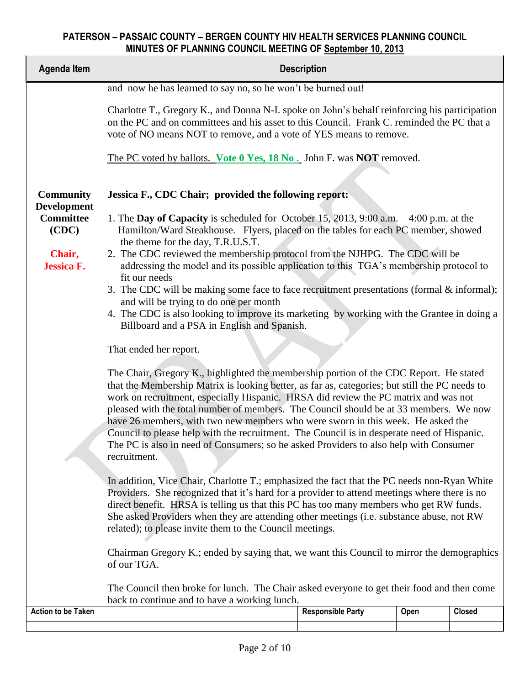| <b>Agenda Item</b>                                                  | <b>Description</b>                                                                                                                                                                                                                                                                                                                                                                                                                                                                                                                                                                                                                                                                                                                                                                                                                                                                                                                                                                                                                                                                                                                                                                                                                                          |                                                                      |      |               |  |  |  |  |  |  |  |
|---------------------------------------------------------------------|-------------------------------------------------------------------------------------------------------------------------------------------------------------------------------------------------------------------------------------------------------------------------------------------------------------------------------------------------------------------------------------------------------------------------------------------------------------------------------------------------------------------------------------------------------------------------------------------------------------------------------------------------------------------------------------------------------------------------------------------------------------------------------------------------------------------------------------------------------------------------------------------------------------------------------------------------------------------------------------------------------------------------------------------------------------------------------------------------------------------------------------------------------------------------------------------------------------------------------------------------------------|----------------------------------------------------------------------|------|---------------|--|--|--|--|--|--|--|
|                                                                     | and now he has learned to say no, so he won't be burned out!                                                                                                                                                                                                                                                                                                                                                                                                                                                                                                                                                                                                                                                                                                                                                                                                                                                                                                                                                                                                                                                                                                                                                                                                |                                                                      |      |               |  |  |  |  |  |  |  |
|                                                                     | Charlotte T., Gregory K., and Donna N-I. spoke on John's behalf reinforcing his participation<br>on the PC and on committees and his asset to this Council. Frank C. reminded the PC that a<br>vote of NO means NOT to remove, and a vote of YES means to remove.                                                                                                                                                                                                                                                                                                                                                                                                                                                                                                                                                                                                                                                                                                                                                                                                                                                                                                                                                                                           |                                                                      |      |               |  |  |  |  |  |  |  |
|                                                                     |                                                                                                                                                                                                                                                                                                                                                                                                                                                                                                                                                                                                                                                                                                                                                                                                                                                                                                                                                                                                                                                                                                                                                                                                                                                             | The PC voted by ballots. Vote 0 Yes, 18 No. John F. was NOT removed. |      |               |  |  |  |  |  |  |  |
| <b>Community</b><br><b>Development</b><br><b>Committee</b><br>(CDC) | Jessica F., CDC Chair; provided the following report:<br>1. The Day of Capacity is scheduled for October 15, 2013, 9:00 a.m. $-4:00$ p.m. at the<br>Hamilton/Ward Steakhouse. Flyers, placed on the tables for each PC member, showed<br>the theme for the day, T.R.U.S.T.                                                                                                                                                                                                                                                                                                                                                                                                                                                                                                                                                                                                                                                                                                                                                                                                                                                                                                                                                                                  |                                                                      |      |               |  |  |  |  |  |  |  |
| Chair,<br><b>Jessica F.</b>                                         | 2. The CDC reviewed the membership protocol from the NJHPG. The CDC will be<br>addressing the model and its possible application to this TGA's membership protocol to<br>fit our needs<br>3. The CDC will be making some face to face recruitment presentations (formal $\&$ informal);<br>and will be trying to do one per month<br>4. The CDC is also looking to improve its marketing by working with the Grantee in doing a<br>Billboard and a PSA in English and Spanish.                                                                                                                                                                                                                                                                                                                                                                                                                                                                                                                                                                                                                                                                                                                                                                              |                                                                      |      |               |  |  |  |  |  |  |  |
|                                                                     | That ended her report.<br>The Chair, Gregory K., highlighted the membership portion of the CDC Report. He stated<br>that the Membership Matrix is looking better, as far as, categories; but still the PC needs to<br>work on recruitment, especially Hispanic. HRSA did review the PC matrix and was not<br>pleased with the total number of members. The Council should be at 33 members. We now<br>have 26 members, with two new members who were sworn in this week. He asked the<br>Council to please help with the recruitment. The Council is in desperate need of Hispanic.<br>The PC is also in need of Consumers; so he asked Providers to also help with Consumer<br>recruitment.<br>In addition, Vice Chair, Charlotte T.; emphasized the fact that the PC needs non-Ryan White<br>Providers. She recognized that it's hard for a provider to attend meetings where there is no<br>direct benefit. HRSA is telling us that this PC has too many members who get RW funds.<br>She asked Providers when they are attending other meetings (i.e. substance abuse, not RW<br>related); to please invite them to the Council meetings.<br>Chairman Gregory K .; ended by saying that, we want this Council to mirror the demographics<br>of our TGA. |                                                                      |      |               |  |  |  |  |  |  |  |
|                                                                     | The Council then broke for lunch. The Chair asked everyone to get their food and then come<br>back to continue and to have a working lunch.                                                                                                                                                                                                                                                                                                                                                                                                                                                                                                                                                                                                                                                                                                                                                                                                                                                                                                                                                                                                                                                                                                                 |                                                                      |      |               |  |  |  |  |  |  |  |
| <b>Action to be Taken</b>                                           |                                                                                                                                                                                                                                                                                                                                                                                                                                                                                                                                                                                                                                                                                                                                                                                                                                                                                                                                                                                                                                                                                                                                                                                                                                                             | <b>Responsible Party</b>                                             | Open | <b>Closed</b> |  |  |  |  |  |  |  |
|                                                                     |                                                                                                                                                                                                                                                                                                                                                                                                                                                                                                                                                                                                                                                                                                                                                                                                                                                                                                                                                                                                                                                                                                                                                                                                                                                             |                                                                      |      |               |  |  |  |  |  |  |  |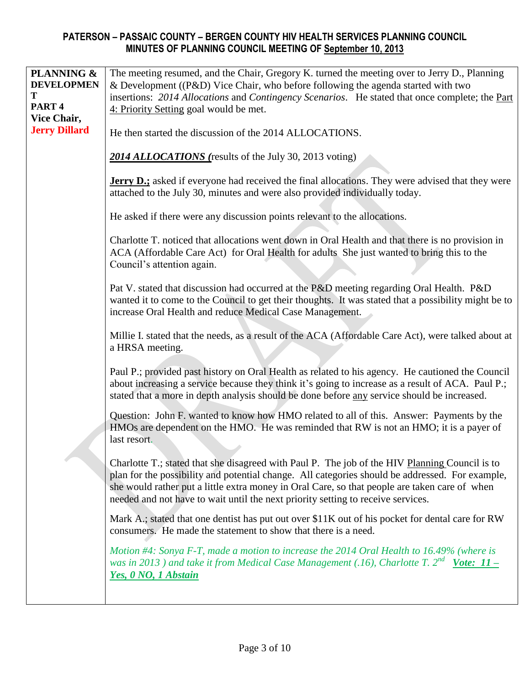| PLANNING &<br><b>DEVELOPMEN</b><br>T<br>PART <sub>4</sub><br>Vice Chair,<br><b>Jerry Dillard</b> | The meeting resumed, and the Chair, Gregory K. turned the meeting over to Jerry D., Planning<br>& Development ((P&D) Vice Chair, who before following the agenda started with two<br>insertions: 2014 Allocations and Contingency Scenarios. He stated that once complete; the Part<br>4: Priority Setting goal would be met.<br>He then started the discussion of the 2014 ALLOCATIONS. |
|--------------------------------------------------------------------------------------------------|------------------------------------------------------------------------------------------------------------------------------------------------------------------------------------------------------------------------------------------------------------------------------------------------------------------------------------------------------------------------------------------|
|                                                                                                  | 2014 ALLOCATIONS (results of the July 30, 2013 voting)                                                                                                                                                                                                                                                                                                                                   |
|                                                                                                  | <b>Jerry D.;</b> asked if everyone had received the final allocations. They were advised that they were<br>attached to the July 30, minutes and were also provided individually today.                                                                                                                                                                                                   |
|                                                                                                  | He asked if there were any discussion points relevant to the allocations.                                                                                                                                                                                                                                                                                                                |
|                                                                                                  | Charlotte T. noticed that allocations went down in Oral Health and that there is no provision in<br>ACA (Affordable Care Act) for Oral Health for adults She just wanted to bring this to the<br>Council's attention again.                                                                                                                                                              |
|                                                                                                  | Pat V. stated that discussion had occurred at the P&D meeting regarding Oral Health. P&D<br>wanted it to come to the Council to get their thoughts. It was stated that a possibility might be to<br>increase Oral Health and reduce Medical Case Management.                                                                                                                             |
|                                                                                                  | Millie I. stated that the needs, as a result of the ACA (Affordable Care Act), were talked about at<br>a HRSA meeting.                                                                                                                                                                                                                                                                   |
|                                                                                                  | Paul P.; provided past history on Oral Health as related to his agency. He cautioned the Council<br>about increasing a service because they think it's going to increase as a result of ACA. Paul P.;<br>stated that a more in depth analysis should be done before any service should be increased.                                                                                     |
|                                                                                                  | Question: John F. wanted to know how HMO related to all of this. Answer: Payments by the<br>HMOs are dependent on the HMO. He was reminded that RW is not an HMO; it is a payer of<br>last resort.                                                                                                                                                                                       |
|                                                                                                  | Charlotte T.; stated that she disagreed with Paul P. The job of the HIV Planning Council is to<br>plan for the possibility and potential change. All categories should be addressed. For example,<br>she would rather put a little extra money in Oral Care, so that people are taken care of when<br>needed and not have to wait until the next priority setting to receive services.   |
|                                                                                                  | Mark A.; stated that one dentist has put out over \$11K out of his pocket for dental care for RW<br>consumers. He made the statement to show that there is a need.                                                                                                                                                                                                                       |
|                                                                                                  | Motion #4: Sonya F-T, made a motion to increase the 2014 Oral Health to 16.49% (where is<br>was in 2013) and take it from Medical Case Management (.16), Charlotte T. 2 <sup>nd</sup> Vote: 11 –<br>Yes, 0 NO, 1 Abstain                                                                                                                                                                 |
|                                                                                                  |                                                                                                                                                                                                                                                                                                                                                                                          |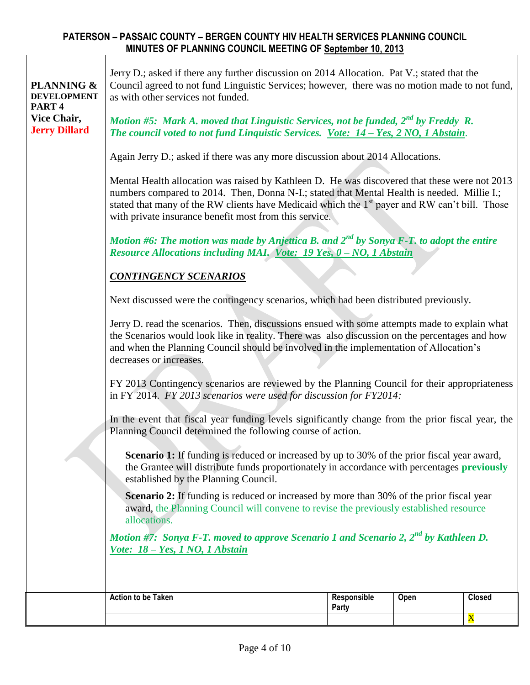$\overline{1}$ 

| <b>PLANNING &amp;</b><br><b>DEVELOPMENT</b><br>PART <sub>4</sub><br>Vice Chair,<br><b>Jerry Dillard</b> | Jerry D.; asked if there any further discussion on 2014 Allocation. Pat V.; stated that the<br>Council agreed to not fund Linguistic Services; however, there was no motion made to not fund,<br>as with other services not funded.<br>Motion #5: Mark A. moved that Linguistic Services, not be funded, $2^{nd}$ by Freddy R.<br>The council voted to not fund Linquistic Services. Vote: 14 - Yes, 2 NO, 1 Abstain.<br>Again Jerry D.; asked if there was any more discussion about 2014 Allocations.<br>Mental Health allocation was raised by Kathleen D. He was discovered that these were not 2013<br>numbers compared to 2014. Then, Donna N-I.; stated that Mental Health is needed. Millie I.;<br>stated that many of the RW clients have Medicaid which the 1 <sup>st</sup> payer and RW can't bill. Those<br>with private insurance benefit most from this service.<br>Motion #6: The motion was made by Anjettica B. and $2^{nd}$ by Sonya F-T, to adopt the entire<br>Resource Allocations including MAI. Vote: 19 Yes, 0 - NO, 1 Abstain<br><b>CONTINGENCY SCENARIOS</b><br>Next discussed were the contingency scenarios, which had been distributed previously.<br>Jerry D. read the scenarios. Then, discussions ensued with some attempts made to explain what<br>the Scenarios would look like in reality. There was also discussion on the percentages and how<br>and when the Planning Council should be involved in the implementation of Allocation's<br>decreases or increases.<br>FY 2013 Contingency scenarios are reviewed by the Planning Council for their appropriateness<br>in FY 2014. FY 2013 scenarios were used for discussion for FY2014: |                      |      |                                          |  |  |
|---------------------------------------------------------------------------------------------------------|-------------------------------------------------------------------------------------------------------------------------------------------------------------------------------------------------------------------------------------------------------------------------------------------------------------------------------------------------------------------------------------------------------------------------------------------------------------------------------------------------------------------------------------------------------------------------------------------------------------------------------------------------------------------------------------------------------------------------------------------------------------------------------------------------------------------------------------------------------------------------------------------------------------------------------------------------------------------------------------------------------------------------------------------------------------------------------------------------------------------------------------------------------------------------------------------------------------------------------------------------------------------------------------------------------------------------------------------------------------------------------------------------------------------------------------------------------------------------------------------------------------------------------------------------------------------------------------------------------------------------------------------------------------------------------|----------------------|------|------------------------------------------|--|--|
|                                                                                                         | In the event that fiscal year funding levels significantly change from the prior fiscal year, the<br>Planning Council determined the following course of action.<br>Scenario 1: If funding is reduced or increased by up to 30% of the prior fiscal year award,<br>the Grantee will distribute funds proportionately in accordance with percentages previously<br>established by the Planning Council.<br><b>Scenario 2:</b> If funding is reduced or increased by more than 30% of the prior fiscal year<br>award, the Planning Council will convene to revise the previously established resource<br>allocations.<br>Motion #7: Sonya F-T. moved to approve Scenario 1 and Scenario 2, $2^{nd}$ by Kathleen D.<br>Vote: 18 - Yes, 1 NO, 1 Abstain                                                                                                                                                                                                                                                                                                                                                                                                                                                                                                                                                                                                                                                                                                                                                                                                                                                                                                                           |                      |      |                                          |  |  |
|                                                                                                         | <b>Action to be Taken</b>                                                                                                                                                                                                                                                                                                                                                                                                                                                                                                                                                                                                                                                                                                                                                                                                                                                                                                                                                                                                                                                                                                                                                                                                                                                                                                                                                                                                                                                                                                                                                                                                                                                     | Responsible<br>Party | Open | <b>Closed</b><br>$\overline{\textbf{X}}$ |  |  |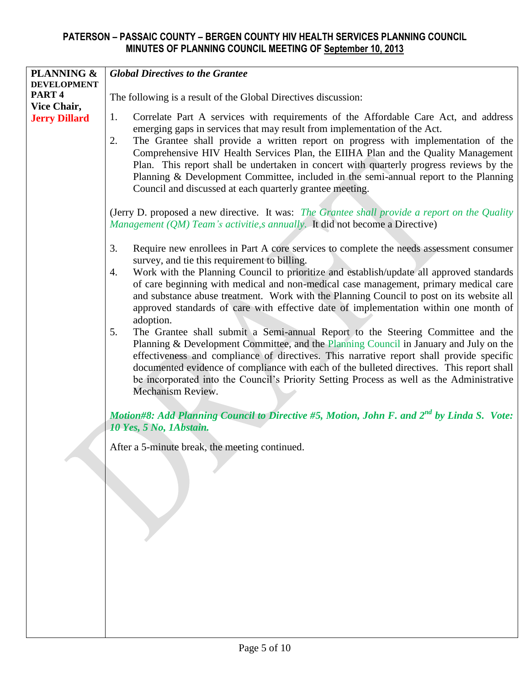| <b>PLANNING &amp;</b><br><b>Global Directives to the Grantee</b><br><b>DEVELOPMENT</b>                                                                                                                                                                                                                                                  |                                                                                                                                                                                                                                                                                                                                                                                                                                                                                                                                                                                                       |  |  |  |  |  |  |  |
|-----------------------------------------------------------------------------------------------------------------------------------------------------------------------------------------------------------------------------------------------------------------------------------------------------------------------------------------|-------------------------------------------------------------------------------------------------------------------------------------------------------------------------------------------------------------------------------------------------------------------------------------------------------------------------------------------------------------------------------------------------------------------------------------------------------------------------------------------------------------------------------------------------------------------------------------------------------|--|--|--|--|--|--|--|
| PART <sub>4</sub><br>Vice Chair,                                                                                                                                                                                                                                                                                                        | The following is a result of the Global Directives discussion:                                                                                                                                                                                                                                                                                                                                                                                                                                                                                                                                        |  |  |  |  |  |  |  |
| <b>Jerry Dillard</b>                                                                                                                                                                                                                                                                                                                    | Correlate Part A services with requirements of the Affordable Care Act, and address<br>1.<br>emerging gaps in services that may result from implementation of the Act.<br>The Grantee shall provide a written report on progress with implementation of the<br>2.<br>Comprehensive HIV Health Services Plan, the EIIHA Plan and the Quality Management<br>Plan. This report shall be undertaken in concert with quarterly progress reviews by the<br>Planning & Development Committee, included in the semi-annual report to the Planning<br>Council and discussed at each quarterly grantee meeting. |  |  |  |  |  |  |  |
|                                                                                                                                                                                                                                                                                                                                         | (Jerry D. proposed a new directive. It was: The Grantee shall provide a report on the Quality<br>Management (QM) Team's activitie, s annually. It did not become a Directive)                                                                                                                                                                                                                                                                                                                                                                                                                         |  |  |  |  |  |  |  |
| Require new enrollees in Part A core services to complete the needs assessment consumer<br>3.<br>survey, and tie this requirement to billing.<br>Work with the Planning Council to prioritize and establish/update all approved standards<br>4.<br>of care beginning with medical and non-medical case management, primary medical care |                                                                                                                                                                                                                                                                                                                                                                                                                                                                                                                                                                                                       |  |  |  |  |  |  |  |
|                                                                                                                                                                                                                                                                                                                                         | and substance abuse treatment. Work with the Planning Council to post on its website all<br>approved standards of care with effective date of implementation within one month of<br>adoption.<br>The Grantee shall submit a Semi-annual Report to the Steering Committee and the<br>5.                                                                                                                                                                                                                                                                                                                |  |  |  |  |  |  |  |
|                                                                                                                                                                                                                                                                                                                                         | Planning & Development Committee, and the Planning Council in January and July on the<br>effectiveness and compliance of directives. This narrative report shall provide specific<br>documented evidence of compliance with each of the bulleted directives. This report shall<br>be incorporated into the Council's Priority Setting Process as well as the Administrative<br>Mechanism Review.                                                                                                                                                                                                      |  |  |  |  |  |  |  |
|                                                                                                                                                                                                                                                                                                                                         | Motion#8: Add Planning Council to Directive #5, Motion, John F. and 2 <sup>nd</sup> by Linda S. Vote:<br>10 Yes, 5 No, 1Abstain.                                                                                                                                                                                                                                                                                                                                                                                                                                                                      |  |  |  |  |  |  |  |
|                                                                                                                                                                                                                                                                                                                                         | After a 5-minute break, the meeting continued.                                                                                                                                                                                                                                                                                                                                                                                                                                                                                                                                                        |  |  |  |  |  |  |  |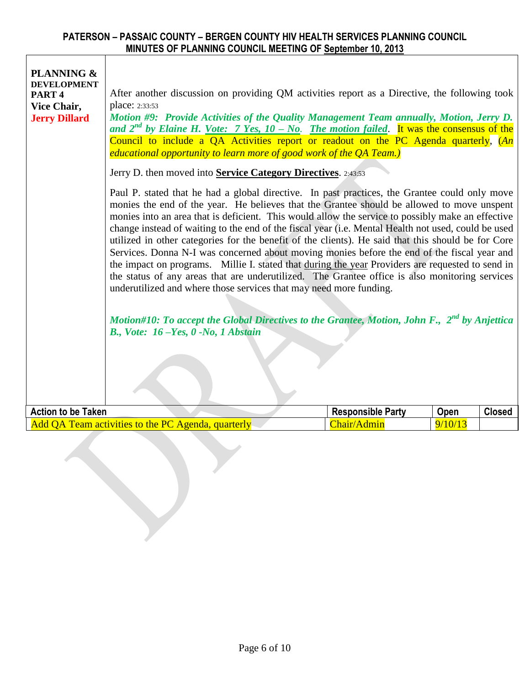| PLANNING &<br><b>DEVELOPMENT</b><br>PART <sub>4</sub><br>Vice Chair,<br><b>Jerry Dillard</b> | After another discussion on providing QM activities report as a Directive, the following took<br>place: 2:33:53<br>Motion #9: Provide Activities of the Quality Management Team annually, Motion, Jerry D.<br>and $2^{nd}$ by Elaine H. <u>Vote: 7 Yes, 10 – No. The motion failed</u> . It was the consensus of the<br>Council to include a QA Activities report or readout on the PC Agenda quarterly, $(An)$<br><i>educational opportunity to learn more of good work of the QA Team.)</i>                                                                                                                                                                                                                                                                                                                                                                                            |                          |         |               |  |  |  |  |  |  |
|----------------------------------------------------------------------------------------------|------------------------------------------------------------------------------------------------------------------------------------------------------------------------------------------------------------------------------------------------------------------------------------------------------------------------------------------------------------------------------------------------------------------------------------------------------------------------------------------------------------------------------------------------------------------------------------------------------------------------------------------------------------------------------------------------------------------------------------------------------------------------------------------------------------------------------------------------------------------------------------------|--------------------------|---------|---------------|--|--|--|--|--|--|
|                                                                                              | Jerry D. then moved into Service Category Directives. 2:43:53                                                                                                                                                                                                                                                                                                                                                                                                                                                                                                                                                                                                                                                                                                                                                                                                                            |                          |         |               |  |  |  |  |  |  |
|                                                                                              | Paul P. stated that he had a global directive. In past practices, the Grantee could only move<br>monies the end of the year. He believes that the Grantee should be allowed to move unspent<br>monies into an area that is deficient. This would allow the service to possibly make an effective<br>change instead of waiting to the end of the fiscal year (i.e. Mental Health not used, could be used<br>utilized in other categories for the benefit of the clients). He said that this should be for Core<br>Services. Donna N-I was concerned about moving monies before the end of the fiscal year and<br>the impact on programs. Millie I. stated that during the year Providers are requested to send in<br>the status of any areas that are underutilized. The Grantee office is also monitoring services<br>underutilized and where those services that may need more funding. |                          |         |               |  |  |  |  |  |  |
|                                                                                              | Motion#10: To accept the Global Directives to the Grantee, Motion, John F., 2 <sup>nd</sup> by Anjettica                                                                                                                                                                                                                                                                                                                                                                                                                                                                                                                                                                                                                                                                                                                                                                                 |                          |         |               |  |  |  |  |  |  |
|                                                                                              | B., Vote: $16$ -Yes, $0$ -No, 1 Abstain                                                                                                                                                                                                                                                                                                                                                                                                                                                                                                                                                                                                                                                                                                                                                                                                                                                  |                          |         |               |  |  |  |  |  |  |
|                                                                                              |                                                                                                                                                                                                                                                                                                                                                                                                                                                                                                                                                                                                                                                                                                                                                                                                                                                                                          |                          |         |               |  |  |  |  |  |  |
| <b>Action to be Taken</b>                                                                    |                                                                                                                                                                                                                                                                                                                                                                                                                                                                                                                                                                                                                                                                                                                                                                                                                                                                                          | <b>Responsible Party</b> | Open    | <b>Closed</b> |  |  |  |  |  |  |
|                                                                                              | Add QA Team activities to the PC Agenda, quarterly                                                                                                                                                                                                                                                                                                                                                                                                                                                                                                                                                                                                                                                                                                                                                                                                                                       | Chair/Admin              | 9/10/13 |               |  |  |  |  |  |  |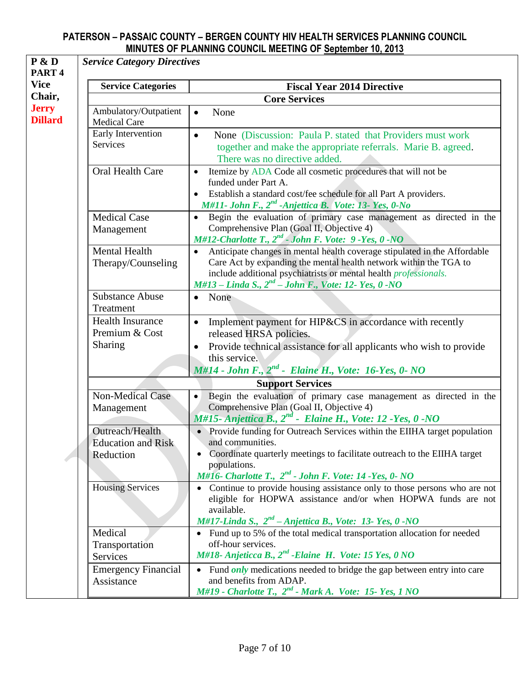| <b>Service Categories</b>                    | <b>Fiscal Year 2014 Directive</b>                                                                                                                                                                                                                                                                      |
|----------------------------------------------|--------------------------------------------------------------------------------------------------------------------------------------------------------------------------------------------------------------------------------------------------------------------------------------------------------|
|                                              | <b>Core Services</b>                                                                                                                                                                                                                                                                                   |
| Ambulatory/Outpatient<br><b>Medical Care</b> | None<br>$\bullet$                                                                                                                                                                                                                                                                                      |
| Early Intervention<br>Services               | None (Discussion: Paula P. stated that Providers must work<br>$\bullet$<br>together and make the appropriate referrals. Marie B. agreed.<br>There was no directive added.                                                                                                                              |
| Oral Health Care                             | Itemize by ADA Code all cosmetic procedures that will not be<br>$\bullet$<br>funded under Part A.<br>Establish a standard cost/fee schedule for all Part A providers.<br>$\bullet$<br>M#11- John F., 2 <sup>nd</sup> -Anjettica B. Vote: 13- Yes, 0-No                                                 |
| <b>Medical Case</b><br>Management            | Begin the evaluation of primary case management as directed in the<br>$\bullet$<br>Comprehensive Plan (Goal II, Objective 4)<br>M#12-Charlotte T., $2^{nd}$ - John F. Vote: 9-Yes, 0-NO                                                                                                                |
| Mental Health<br>Therapy/Counseling          | Anticipate changes in mental health coverage stipulated in the Affordable<br>$\bullet$<br>Care Act by expanding the mental health network within the TGA to<br>include additional psychiatrists or mental health <i>professionals</i> .<br>$M#13$ - Linda S., $2^{nd}$ - John F., Vote: 12- Yes, 0 -NO |
| <b>Substance Abuse</b><br>Treatment          | None<br>$\bullet$                                                                                                                                                                                                                                                                                      |
| <b>Health Insurance</b><br>Premium & Cost    | Implement payment for HIP&CS in accordance with recently<br>$\bullet$<br>released HRSA policies.                                                                                                                                                                                                       |
| <b>Sharing</b>                               | Provide technical assistance for all applicants who wish to provide<br>$\bullet$<br>this service.<br>M#14 - John F., $2^{nd}$ - Elaine H., Vote: 16-Yes, 0- NO                                                                                                                                         |
|                                              | <b>Support Services</b>                                                                                                                                                                                                                                                                                |
| <b>Non-Medical Case</b><br>Management        | Begin the evaluation of primary case management as directed in the<br>$\bullet$<br>Comprehensive Plan (Goal II, Objective 4)                                                                                                                                                                           |
| Outreach/Health                              | $M#15$ - Anjettica B., $2^{nd}$ - Elaine H., Vote: 12 - Yes, 0 - NO<br>• Provide funding for Outreach Services within the EIIHA target population                                                                                                                                                      |
| <b>Education and Risk</b>                    | and communities.                                                                                                                                                                                                                                                                                       |
| Reduction                                    | Coordinate quarterly meetings to facilitate outreach to the EIIHA target<br>populations.<br>M#16- Charlotte T., $2^{nd}$ - John F. Vote: 14 -Yes, 0- NO                                                                                                                                                |
| <b>Housing Services</b>                      | Continue to provide housing assistance only to those persons who are not<br>eligible for HOPWA assistance and/or when HOPWA funds are not<br>available.<br>M#17-Linda S., $2^{nd}$ - Anjettica B., Vote: 13- Yes, 0 -NO                                                                                |
| Medical<br>Transportation                    | • Fund up to 5% of the total medical transportation allocation for needed<br>off-hour services.                                                                                                                                                                                                        |
| <b>Services</b>                              | M#18- Anjeticca B., 2 <sup>nd</sup> - Elaine H. Vote: 15 Yes, 0 NO                                                                                                                                                                                                                                     |
| <b>Emergency Financial</b><br>Assistance     | • Fund <i>only</i> medications needed to bridge the gap between entry into care<br>and benefits from ADAP.<br>M#19 - Charlotte T., $2^{nd}$ - Mark A. Vote: 15- Yes, 1 NO                                                                                                                              |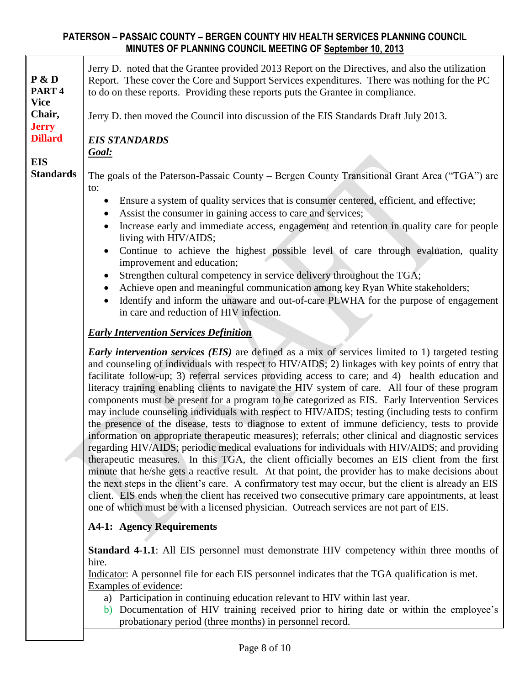| P & D<br>PART <sub>4</sub><br><b>Vice</b><br>Chair,<br><b>Jerry</b><br><b>Dillard</b><br><b>EIS</b> | Jerry D. noted that the Grantee provided 2013 Report on the Directives, and also the utilization<br>Report. These cover the Core and Support Services expenditures. There was nothing for the PC<br>to do on these reports. Providing these reports puts the Grantee in compliance.<br>Jerry D. then moved the Council into discussion of the EIS Standards Draft July 2013.<br><b>EIS STANDARDS</b><br><u>Goal:</u>                                                                                                                                                                                                                                                                                                                                                                                                                                                                                                                                                                                                                                                                                                                                                                                                                                                                                                                                                                                                                                 |
|-----------------------------------------------------------------------------------------------------|------------------------------------------------------------------------------------------------------------------------------------------------------------------------------------------------------------------------------------------------------------------------------------------------------------------------------------------------------------------------------------------------------------------------------------------------------------------------------------------------------------------------------------------------------------------------------------------------------------------------------------------------------------------------------------------------------------------------------------------------------------------------------------------------------------------------------------------------------------------------------------------------------------------------------------------------------------------------------------------------------------------------------------------------------------------------------------------------------------------------------------------------------------------------------------------------------------------------------------------------------------------------------------------------------------------------------------------------------------------------------------------------------------------------------------------------------|
| <b>Standards</b>                                                                                    | The goals of the Paterson-Passaic County – Bergen County Transitional Grant Area ("TGA") are<br>to:<br>Ensure a system of quality services that is consumer centered, efficient, and effective;<br>Assist the consumer in gaining access to care and services;<br>Increase early and immediate access, engagement and retention in quality care for people<br>living with HIV/AIDS;<br>Continue to achieve the highest possible level of care through evaluation, quality<br>improvement and education;<br>Strengthen cultural competency in service delivery throughout the TGA;<br>Achieve open and meaningful communication among key Ryan White stakeholders;<br>Identify and inform the unaware and out-of-care PLWHA for the purpose of engagement<br>$\bullet$<br>in care and reduction of HIV infection.                                                                                                                                                                                                                                                                                                                                                                                                                                                                                                                                                                                                                                     |
|                                                                                                     | <b>Early Intervention Services Definition</b>                                                                                                                                                                                                                                                                                                                                                                                                                                                                                                                                                                                                                                                                                                                                                                                                                                                                                                                                                                                                                                                                                                                                                                                                                                                                                                                                                                                                        |
|                                                                                                     | <b>Early intervention services (EIS)</b> are defined as a mix of services limited to 1) targeted testing<br>and counseling of individuals with respect to HIV/AIDS; 2) linkages with key points of entry that<br>facilitate follow-up; 3) referral services providing access to care; and 4) health education and<br>literacy training enabling clients to navigate the HIV system of care. All four of these program<br>components must be present for a program to be categorized as EIS. Early Intervention Services<br>may include counseling individuals with respect to HIV/AIDS; testing (including tests to confirm<br>the presence of the disease, tests to diagnose to extent of immune deficiency, tests to provide<br>information on appropriate therapeutic measures); referrals; other clinical and diagnostic services<br>regarding HIV/AIDS; periodic medical evaluations for individuals with HIV/AIDS; and providing<br>therapeutic measures. In this TGA, the client officially becomes an EIS client from the first<br>minute that he/she gets a reactive result. At that point, the provider has to make decisions about<br>the next steps in the client's care. A confirmatory test may occur, but the client is already an EIS<br>client. EIS ends when the client has received two consecutive primary care appointments, at least<br>one of which must be with a licensed physician. Outreach services are not part of EIS. |
|                                                                                                     | <b>A4-1: Agency Requirements</b>                                                                                                                                                                                                                                                                                                                                                                                                                                                                                                                                                                                                                                                                                                                                                                                                                                                                                                                                                                                                                                                                                                                                                                                                                                                                                                                                                                                                                     |
|                                                                                                     | <b>Standard 4-1.1:</b> All EIS personnel must demonstrate HIV competency within three months of<br>hire.<br>Indicator: A personnel file for each EIS personnel indicates that the TGA qualification is met.<br>Examples of evidence:<br>a) Participation in continuing education relevant to HIV within last year.<br>Documentation of HIV training received prior to hiring date or within the employee's<br>b)                                                                                                                                                                                                                                                                                                                                                                                                                                                                                                                                                                                                                                                                                                                                                                                                                                                                                                                                                                                                                                     |
|                                                                                                     | probationary period (three months) in personnel record.                                                                                                                                                                                                                                                                                                                                                                                                                                                                                                                                                                                                                                                                                                                                                                                                                                                                                                                                                                                                                                                                                                                                                                                                                                                                                                                                                                                              |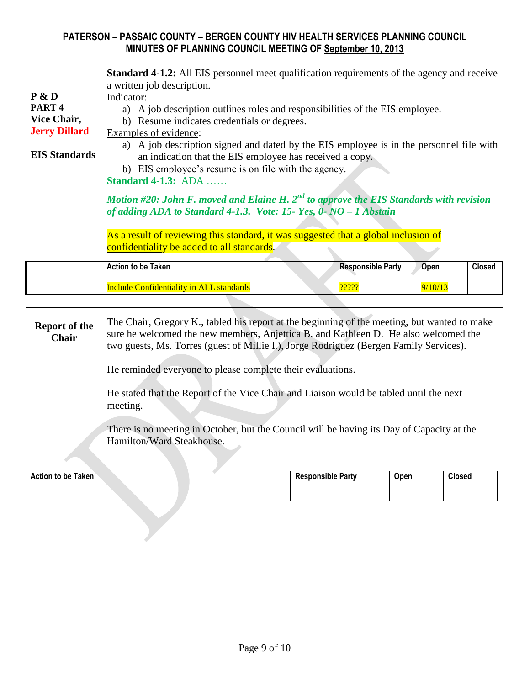|                      | <b>Standard 4-1.2:</b> All EIS personnel meet qualification requirements of the agency and receive                                                                                                        |                                                                                                                                                                                                                                                                                                            |         |               |  |  |  |  |  |
|----------------------|-----------------------------------------------------------------------------------------------------------------------------------------------------------------------------------------------------------|------------------------------------------------------------------------------------------------------------------------------------------------------------------------------------------------------------------------------------------------------------------------------------------------------------|---------|---------------|--|--|--|--|--|
|                      | a written job description.                                                                                                                                                                                |                                                                                                                                                                                                                                                                                                            |         |               |  |  |  |  |  |
| P & D                | Indicator:                                                                                                                                                                                                |                                                                                                                                                                                                                                                                                                            |         |               |  |  |  |  |  |
| PART <sub>4</sub>    | a) A job description outlines roles and responsibilities of the EIS employee.                                                                                                                             |                                                                                                                                                                                                                                                                                                            |         |               |  |  |  |  |  |
| Vice Chair,          | b) Resume indicates credentials or degrees.                                                                                                                                                               |                                                                                                                                                                                                                                                                                                            |         |               |  |  |  |  |  |
| <b>Jerry Dillard</b> | Examples of evidence:                                                                                                                                                                                     |                                                                                                                                                                                                                                                                                                            |         |               |  |  |  |  |  |
| <b>EIS Standards</b> | <b>Standard 4-1.3: ADA</b>                                                                                                                                                                                | a) A job description signed and dated by the EIS employee is in the personnel file with<br>an indication that the EIS employee has received a copy.<br>b) EIS employee's resume is on file with the agency.<br>Motion #20: John F. moved and Elaine H. $2^{nd}$ to approve the EIS Standards with revision |         |               |  |  |  |  |  |
|                      | of adding ADA to Standard 4-1.3. Vote: 15- Yes, $0$ - NO - 1 Abstain<br>As a result of reviewing this standard, it was suggested that a global inclusion of<br>confidentiality be added to all standards. |                                                                                                                                                                                                                                                                                                            |         |               |  |  |  |  |  |
|                      | <b>Action to be Taken</b>                                                                                                                                                                                 | <b>Responsible Party</b>                                                                                                                                                                                                                                                                                   | Open    | <b>Closed</b> |  |  |  |  |  |
|                      | <b>Include Confidentiality in ALL standards</b>                                                                                                                                                           | ?????                                                                                                                                                                                                                                                                                                      | 9/10/13 |               |  |  |  |  |  |

| <b>Report of the</b><br><b>Chair</b> | The Chair, Gregory K., tabled his report at the beginning of the meeting, but wanted to make<br>sure he welcomed the new members, Anjettica B. and Kathleen D. He also welcomed the<br>two guests, Ms. Torres (guest of Millie I.), Jorge Rodriguez (Bergen Family Services). |                          |      |               |  |  |  |  |
|--------------------------------------|-------------------------------------------------------------------------------------------------------------------------------------------------------------------------------------------------------------------------------------------------------------------------------|--------------------------|------|---------------|--|--|--|--|
|                                      | He reminded everyone to please complete their evaluations.                                                                                                                                                                                                                    |                          |      |               |  |  |  |  |
|                                      | He stated that the Report of the Vice Chair and Liaison would be tabled until the next<br>meeting.                                                                                                                                                                            |                          |      |               |  |  |  |  |
|                                      | There is no meeting in October, but the Council will be having its Day of Capacity at the<br>Hamilton/Ward Steakhouse.                                                                                                                                                        |                          |      |               |  |  |  |  |
| Action to be Taken                   |                                                                                                                                                                                                                                                                               | <b>Responsible Party</b> | Open | <b>Closed</b> |  |  |  |  |
|                                      |                                                                                                                                                                                                                                                                               |                          |      |               |  |  |  |  |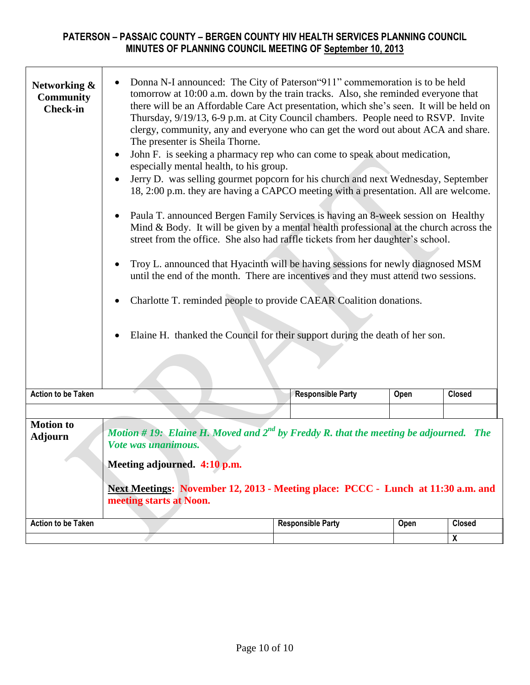| Networking &<br><b>Community</b><br><b>Check-in</b> | Donna N-I announced: The City of Paterson "911" commemoration is to be held<br>$\bullet$<br>tomorrow at 10:00 a.m. down by the train tracks. Also, she reminded everyone that<br>there will be an Affordable Care Act presentation, which she's seen. It will be held on<br>Thursday, 9/19/13, 6-9 p.m. at City Council chambers. People need to RSVP. Invite<br>clergy, community, any and everyone who can get the word out about ACA and share.<br>The presenter is Sheila Thorne.<br>John F. is seeking a pharmacy rep who can come to speak about medication,<br>$\bullet$<br>especially mental health, to his group.<br>Jerry D. was selling gourmet popcorn for his church and next Wednesday, September<br>18, 2:00 p.m. they are having a CAPCO meeting with a presentation. All are welcome.<br>Paula T. announced Bergen Family Services is having an 8-week session on Healthy<br>$\bullet$<br>Mind & Body. It will be given by a mental health professional at the church across the<br>street from the office. She also had raffle tickets from her daughter's school.<br>Troy L. announced that Hyacinth will be having sessions for newly diagnosed MSM<br>$\bullet$<br>until the end of the month. There are incentives and they must attend two sessions.<br>Charlotte T. reminded people to provide CAEAR Coalition donations.<br>Elaine H. thanked the Council for their support during the death of her son.<br><b>Responsible Party</b><br><b>Closed</b><br>Open |                          |      |                           |  |  |  |  |
|-----------------------------------------------------|----------------------------------------------------------------------------------------------------------------------------------------------------------------------------------------------------------------------------------------------------------------------------------------------------------------------------------------------------------------------------------------------------------------------------------------------------------------------------------------------------------------------------------------------------------------------------------------------------------------------------------------------------------------------------------------------------------------------------------------------------------------------------------------------------------------------------------------------------------------------------------------------------------------------------------------------------------------------------------------------------------------------------------------------------------------------------------------------------------------------------------------------------------------------------------------------------------------------------------------------------------------------------------------------------------------------------------------------------------------------------------------------------------------------------------------------------------------------------------------|--------------------------|------|---------------------------|--|--|--|--|
| <b>Action to be Taken</b>                           |                                                                                                                                                                                                                                                                                                                                                                                                                                                                                                                                                                                                                                                                                                                                                                                                                                                                                                                                                                                                                                                                                                                                                                                                                                                                                                                                                                                                                                                                                        |                          |      |                           |  |  |  |  |
|                                                     |                                                                                                                                                                                                                                                                                                                                                                                                                                                                                                                                                                                                                                                                                                                                                                                                                                                                                                                                                                                                                                                                                                                                                                                                                                                                                                                                                                                                                                                                                        |                          |      |                           |  |  |  |  |
| <b>Motion to</b><br><b>Adjourn</b>                  | Motion # 19: Elaine H. Moved and $2^{nd}$ by Freddy R. that the meeting be adjourned. The<br>Vote was unanimous.<br>Meeting adjourned. 4:10 p.m.<br>Next Meetings: November 12, 2013 - Meeting place: PCCC - Lunch at 11:30 a.m. and<br>meeting starts at Noon.                                                                                                                                                                                                                                                                                                                                                                                                                                                                                                                                                                                                                                                                                                                                                                                                                                                                                                                                                                                                                                                                                                                                                                                                                        |                          |      |                           |  |  |  |  |
| <b>Action to be Taken</b>                           |                                                                                                                                                                                                                                                                                                                                                                                                                                                                                                                                                                                                                                                                                                                                                                                                                                                                                                                                                                                                                                                                                                                                                                                                                                                                                                                                                                                                                                                                                        | <b>Responsible Party</b> | Open | <b>Closed</b>             |  |  |  |  |
|                                                     |                                                                                                                                                                                                                                                                                                                                                                                                                                                                                                                                                                                                                                                                                                                                                                                                                                                                                                                                                                                                                                                                                                                                                                                                                                                                                                                                                                                                                                                                                        |                          |      | $\boldsymbol{\mathsf{X}}$ |  |  |  |  |